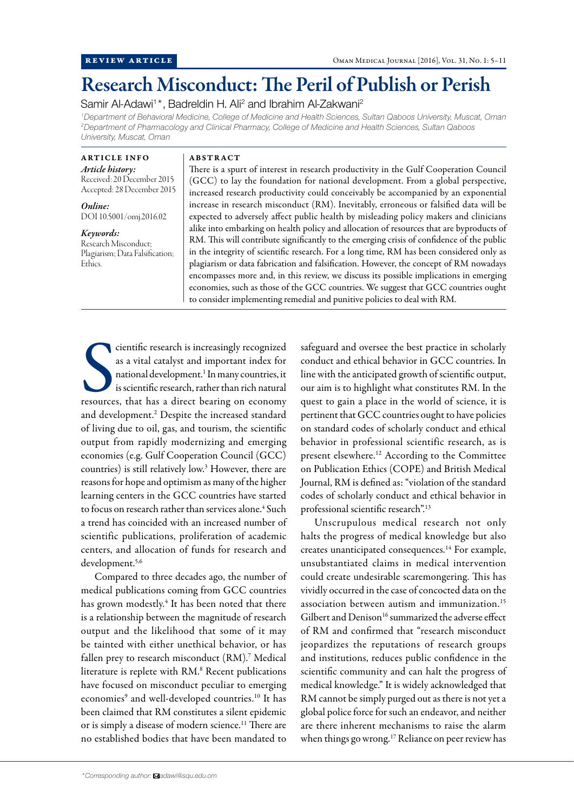# Research Misconduct: The Peril of Publish or Perish

Samir Al-Adawi<sup>1\*</sup>, Badreldin H. Ali<sup>2</sup> and Ibrahim Al-Zakwani<sup>2</sup>

*1 Department of Behavioral Medicine, College of Medicine and Health Sciences, Sultan Qaboos University, Muscat, Oman 2 Department of Pharmacology and Clinical Pharmacy, College of Medicine and Health Sciences, Sultan Qaboos University, Muscat, Oman*

ARTICLE INFO *Article history:* Received: 20 December 2015 Accepted: 28 December 2015

*Online:* DOI 10.5001/omj.2016.02

*Keywords:* Research Misconduct; Plagiarism; Data Falsification; Ethics.

#### ABSTRACT

There is a spurt of interest in research productivity in the Gulf Cooperation Council (GCC) to lay the foundation for national development. From a global perspective, increased research productivity could conceivably be accompanied by an exponential increase in research misconduct (RM). Inevitably, erroneous or falsified data will be expected to adversely affect public health by misleading policy makers and clinicians alike into embarking on health policy and allocation of resources that are byproducts of RM. This will contribute significantly to the emerging crisis of confidence of the public in the integrity of scientific research. For a long time, RM has been considered only as plagiarism or data fabrication and falsification. However, the concept of RM nowadays encompasses more and, in this review, we discuss its possible implications in emerging economies, such as those of the GCC countries. We suggest that GCC countries ought to consider implementing remedial and punitive policies to deal with RM.

CONTRIBUTE CONTRIBUTED AS a vital catalyst and important index for national development.<sup>1</sup> In many countries, it is scientific research, rather than rich natural resources, that has a direct bearing on economy cientific research is increasingly recognized as a vital catalyst and important index for national development.<sup>1</sup> In many countries, it is scientific research, rather than rich natural and development.<sup>2</sup> Despite the increased standard of living due to oil, gas, and tourism, the scientific output from rapidly modernizing and emerging economies (e.g. Gulf Cooperation Council (GCC) countries) is still relatively low.3 However, there are reasons for hope and optimism as many of the higher learning centers in the GCC countries have started to focus on research rather than services alone.<sup>4</sup> Such a trend has coincided with an increased number of scientific publications, proliferation of academic centers, and allocation of funds for research and development.<sup>5,6</sup>

Compared to three decades ago, the number of medical publications coming from GCC countries has grown modestly.<sup>4</sup> It has been noted that there is a relationship between the magnitude of research output and the likelihood that some of it may be tainted with either unethical behavior, or has fallen prey to research misconduct (RM).<sup>7</sup> Medical literature is replete with RM.<sup>8</sup> Recent publications have focused on misconduct peculiar to emerging economies<sup>9</sup> and well-developed countries.<sup>10</sup> It has been claimed that RM constitutes a silent epidemic or is simply a disease of modern science.11 There are no established bodies that have been mandated to

safeguard and oversee the best practice in scholarly conduct and ethical behavior in GCC countries. In line with the anticipated growth of scientific output, our aim is to highlight what constitutes RM. In the quest to gain a place in the world of science, it is pertinent that GCC countries ought to have policies on standard codes of scholarly conduct and ethical behavior in professional scientific research, as is present elsewhere.12 According to the Committee on Publication Ethics (COPE) and British Medical Journal, RM is defined as: "violation of the standard codes of scholarly conduct and ethical behavior in professional scientific research".13

Unscrupulous medical research not only halts the progress of medical knowledge but also creates unanticipated consequences.14 For example, unsubstantiated claims in medical intervention could create undesirable scaremongering. This has vividly occurred in the case of concocted data on the association between autism and immunization.15 Gilbert and Denison<sup>16</sup> summarized the adverse effect of RM and confirmed that "research misconduct jeopardizes the reputations of research groups and institutions, reduces public confidence in the scientific community and can halt the progress of medical knowledge." It is widely acknowledged that RM cannot be simply purged out as there is not yet a global police force for such an endeavor, and neither are there inherent mechanisms to raise the alarm when things go wrong.<sup>17</sup> Reliance on peer review has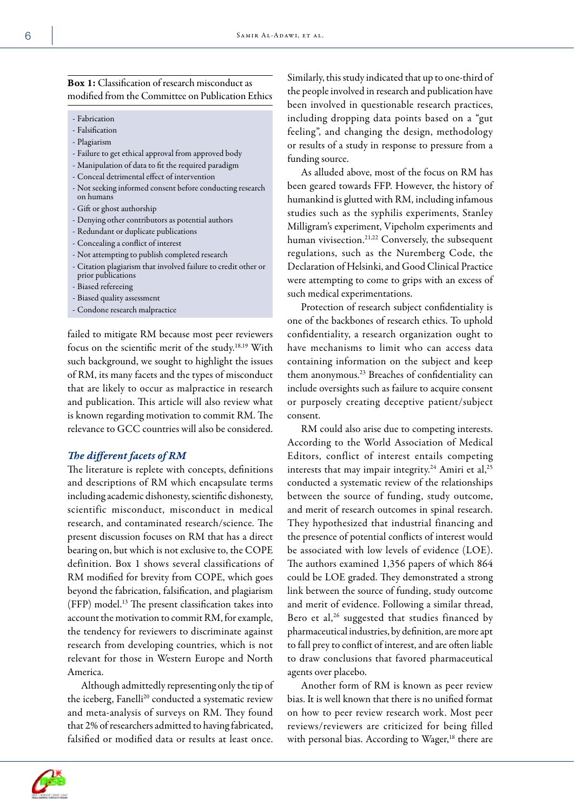# Box 1: Classification of research misconduct as modified from the Committee on Publication Ethics

- Fabrication
- Falsification
- Plagiarism
- Failure to get ethical approval from approved body
- Manipulation of data to fit the required paradigm
- Conceal detrimental effect of intervention
- Not seeking informed consent before conducting research on humans
- Gift or ghost authorship
- Denying other contributors as potential authors
- Redundant or duplicate publications
- Concealing a conflict of interest
- Not attempting to publish completed research
- Citation plagiarism that involved failure to credit other or prior publications
- Biased refereeing
- Biased quality assessment
- Condone research malpractice

failed to mitigate RM because most peer reviewers focus on the scientific merit of the study.18,19 With such background, we sought to highlight the issues of RM, its many facets and the types of misconduct that are likely to occur as malpractice in research and publication. This article will also review what is known regarding motivation to commit RM. The relevance to GCC countries will also be considered.

#### *The different facets of RM*

The literature is replete with concepts, definitions and descriptions of RM which encapsulate terms including academic dishonesty, scientific dishonesty, scientific misconduct, misconduct in medical research, and contaminated research/science. The present discussion focuses on RM that has a direct bearing on, but which is not exclusive to, the COPE definition. Box 1 shows several classifications of RM modified for brevity from COPE, which goes beyond the fabrication, falsification, and plagiarism (FFP) model.13 The present classification takes into account the motivation to commit RM, for example, the tendency for reviewers to discriminate against research from developing countries, which is not relevant for those in Western Europe and North America.

Although admittedly representing only the tip of the iceberg, Fanelli<sup>20</sup> conducted a systematic review and meta-analysis of surveys on RM. They found that 2% of researchers admitted to having fabricated, falsified or modified data or results at least once.

Similarly, this study indicated that up to one-third of the people involved in research and publication have been involved in questionable research practices, including dropping data points based on a "gut feeling", and changing the design, methodology or results of a study in response to pressure from a funding source.

As alluded above, most of the focus on RM has been geared towards FFP. However, the history of humankind is glutted with RM, including infamous studies such as the syphilis experiments, Stanley Milligram's experiment, Vipeholm experiments and human vivisection.<sup>21,22</sup> Conversely, the subsequent regulations, such as the Nuremberg Code, the Declaration of Helsinki, and Good Clinical Practice were attempting to come to grips with an excess of such medical experimentations.

Protection of research subject confidentiality is one of the backbones of research ethics. To uphold confidentiality, a research organization ought to have mechanisms to limit who can access data containing information on the subject and keep them anonymous.23 Breaches of confidentiality can include oversights such as failure to acquire consent or purposely creating deceptive patient/subject consent.

RM could also arise due to competing interests. According to the World Association of Medical Editors, conflict of interest entails competing interests that may impair integrity.<sup>24</sup> Amiri et al,<sup>25</sup> conducted a systematic review of the relationships between the source of funding, study outcome, and merit of research outcomes in spinal research. They hypothesized that industrial financing and the presence of potential conflicts of interest would be associated with low levels of evidence (LOE). The authors examined 1,356 papers of which 864 could be LOE graded. They demonstrated a strong link between the source of funding, study outcome and merit of evidence. Following a similar thread, Bero et al, $26$  suggested that studies financed by pharmaceutical industries, by definition, are more apt to fall prey to conflict of interest, and are often liable to draw conclusions that favored pharmaceutical agents over placebo.

Another form of RM is known as peer review bias. It is well known that there is no unified format on how to peer review research work. Most peer reviews/reviewers are criticized for being filled with personal bias. According to Wager,<sup>18</sup> there are

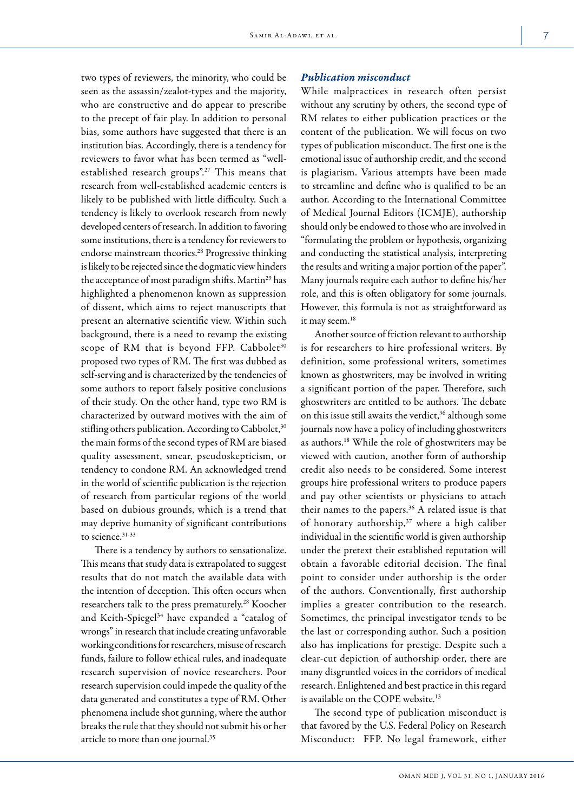two types of reviewers, the minority, who could be seen as the assassin/zealot-types and the majority, who are constructive and do appear to prescribe to the precept of fair play. In addition to personal bias, some authors have suggested that there is an institution bias. Accordingly, there is a tendency for reviewers to favor what has been termed as "wellestablished research groups".<sup>27</sup> This means that research from well-established academic centers is likely to be published with little difficulty. Such a tendency is likely to overlook research from newly developed centers of research. In addition to favoring some institutions, there is a tendency for reviewers to endorse mainstream theories.28 Progressive thinking is likely to be rejected since the dogmatic view hinders the acceptance of most paradigm shifts. Martin<sup>29</sup> has highlighted a phenomenon known as suppression of dissent, which aims to reject manuscripts that present an alternative scientific view. Within such background, there is a need to revamp the existing scope of RM that is beyond FFP. Cabbolet<sup>30</sup> proposed two types of RM. The first was dubbed as self-serving and is characterized by the tendencies of some authors to report falsely positive conclusions of their study. On the other hand, type two RM is characterized by outward motives with the aim of stifling others publication. According to Cabbolet,<sup>30</sup> the main forms of the second types of RM are biased quality assessment, smear, pseudoskepticism, or tendency to condone RM. An acknowledged trend in the world of scientific publication is the rejection of research from particular regions of the world based on dubious grounds, which is a trend that may deprive humanity of significant contributions to science.<sup>31-33</sup>

There is a tendency by authors to sensationalize. This means that study data is extrapolated to suggest results that do not match the available data with the intention of deception. This often occurs when researchers talk to the press prematurely.28 Koocher and Keith-Spiegel<sup>34</sup> have expanded a "catalog of wrongs" in research that include creating unfavorable working conditions for researchers, misuse of research funds, failure to follow ethical rules, and inadequate research supervision of novice researchers. Poor research supervision could impede the quality of the data generated and constitutes a type of RM. Other phenomena include shot gunning, where the author breaks the rule that they should not submit his or her article to more than one journal.<sup>35</sup>

#### *Publication misconduct*

While malpractices in research often persist without any scrutiny by others, the second type of RM relates to either publication practices or the content of the publication. We will focus on two types of publication misconduct. The first one is the emotional issue of authorship credit, and the second is plagiarism. Various attempts have been made to streamline and define who is qualified to be an author. According to the International Committee of Medical Journal Editors (ICMJE), authorship should only be endowed to those who are involved in "formulating the problem or hypothesis, organizing and conducting the statistical analysis, interpreting the results and writing a major portion of the paper". Many journals require each author to define his/her role, and this is often obligatory for some journals. However, this formula is not as straightforward as it may seem.<sup>18</sup>

Another source of friction relevant to authorship is for researchers to hire professional writers. By definition, some professional writers, sometimes known as ghostwriters, may be involved in writing a significant portion of the paper. Therefore, such ghostwriters are entitled to be authors. The debate on this issue still awaits the verdict,<sup>36</sup> although some journals now have a policy of including ghostwriters as authors.18 While the role of ghostwriters may be viewed with caution, another form of authorship credit also needs to be considered. Some interest groups hire professional writers to produce papers and pay other scientists or physicians to attach their names to the papers.<sup>36</sup> A related issue is that of honorary authorship,<sup>37</sup> where a high caliber individual in the scientific world is given authorship under the pretext their established reputation will obtain a favorable editorial decision. The final point to consider under authorship is the order of the authors. Conventionally, first authorship implies a greater contribution to the research. Sometimes, the principal investigator tends to be the last or corresponding author. Such a position also has implications for prestige. Despite such a clear-cut depiction of authorship order, there are many disgruntled voices in the corridors of medical research. Enlightened and best practice in this regard is available on the COPE website.<sup>13</sup>

The second type of publication misconduct is that favored by the U.S. Federal Policy on Research Misconduct: FFP. No legal framework, either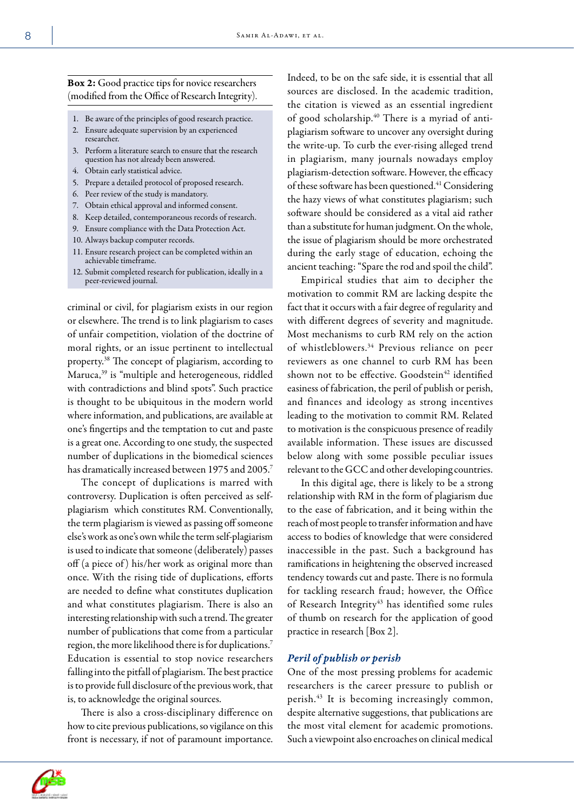## Box 2: Good practice tips for novice researchers (modified from the Office of Research Integrity).

- 1. Be aware of the principles of good research practice.
- 2. Ensure adequate supervision by an experienced researcher.
- 3. Perform a literature search to ensure that the research question has not already been answered.
- 4. Obtain early statistical advice.
- 5. Prepare a detailed protocol of proposed research.
- 6. Peer review of the study is mandatory.
- 7. Obtain ethical approval and informed consent.
- 8. Keep detailed, contemporaneous records of research.
- 9. Ensure compliance with the Data Protection Act.
- 10. Always backup computer records.
- 11. Ensure research project can be completed within an achievable timeframe.
- 12. Submit completed research for publication, ideally in a peer-reviewed journal.

criminal or civil, for plagiarism exists in our region or elsewhere. The trend is to link plagiarism to cases of unfair competition, violation of the doctrine of moral rights, or an issue pertinent to intellectual property.38 The concept of plagiarism, according to Maruca,<sup>39</sup> is "multiple and heterogeneous, riddled with contradictions and blind spots". Such practice is thought to be ubiquitous in the modern world where information, and publications, are available at one's fingertips and the temptation to cut and paste is a great one. According to one study, the suspected number of duplications in the biomedical sciences has dramatically increased between 1975 and 2005.<sup>7</sup>

The concept of duplications is marred with controversy. Duplication is often perceived as selfplagiarism which constitutes RM. Conventionally, the term plagiarism is viewed as passing off someone else's work as one's own while the term self-plagiarism is used to indicate that someone (deliberately) passes off (a piece of ) his/her work as original more than once. With the rising tide of duplications, efforts are needed to define what constitutes duplication and what constitutes plagiarism. There is also an interesting relationship with such a trend. The greater number of publications that come from a particular region, the more likelihood there is for duplications.7 Education is essential to stop novice researchers falling into the pitfall of plagiarism. The best practice is to provide full disclosure of the previous work, that is, to acknowledge the original sources.

There is also a cross-disciplinary difference on how to cite previous publications, so vigilance on this front is necessary, if not of paramount importance. Indeed, to be on the safe side, it is essential that all sources are disclosed. In the academic tradition, the citation is viewed as an essential ingredient of good scholarship.40 There is a myriad of antiplagiarism software to uncover any oversight during the write-up. To curb the ever-rising alleged trend in plagiarism, many journals nowadays employ plagiarism-detection software. However, the efficacy of these software has been questioned.41 Considering the hazy views of what constitutes plagiarism; such software should be considered as a vital aid rather than a substitute for human judgment. On the whole, the issue of plagiarism should be more orchestrated during the early stage of education, echoing the ancient teaching: "Spare the rod and spoil the child".

Empirical studies that aim to decipher the motivation to commit RM are lacking despite the fact that it occurs with a fair degree of regularity and with different degrees of severity and magnitude. Most mechanisms to curb RM rely on the action of whistleblowers.<sup>34</sup> Previous reliance on peer reviewers as one channel to curb RM has been shown not to be effective. Goodstein<sup>42</sup> identified easiness of fabrication, the peril of publish or perish, and finances and ideology as strong incentives leading to the motivation to commit RM. Related to motivation is the conspicuous presence of readily available information. These issues are discussed below along with some possible peculiar issues relevant to the GCC and other developing countries.

In this digital age, there is likely to be a strong relationship with RM in the form of plagiarism due to the ease of fabrication, and it being within the reach of most people to transfer information and have access to bodies of knowledge that were considered inaccessible in the past. Such a background has ramifications in heightening the observed increased tendency towards cut and paste. There is no formula for tackling research fraud; however, the Office of Research Integrity<sup>43</sup> has identified some rules of thumb on research for the application of good practice in research [Box 2].

### *Peril of publish or perish*

One of the most pressing problems for academic researchers is the career pressure to publish or perish.43 It is becoming increasingly common, despite alternative suggestions, that publications are the most vital element for academic promotions. Such a viewpoint also encroaches on clinical medical

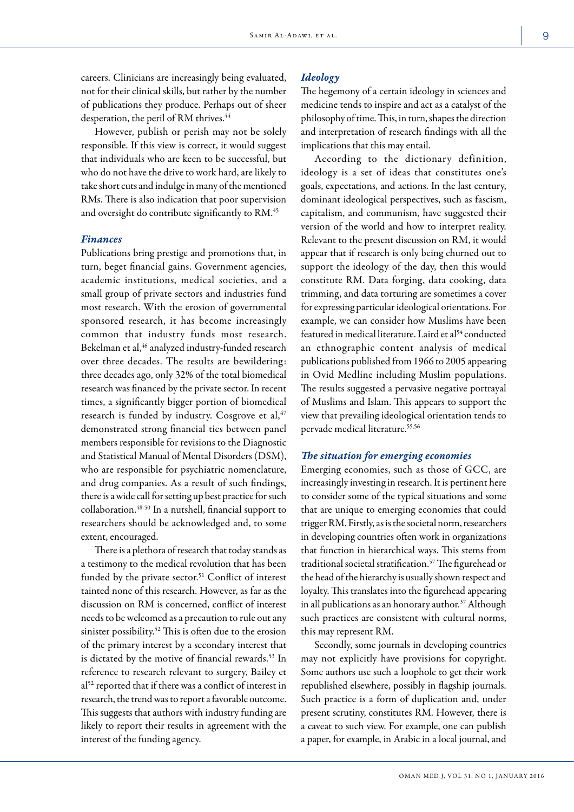careers. Clinicians are increasingly being evaluated, not for their clinical skills, but rather by the number of publications they produce. Perhaps out of sheer desperation, the peril of RM thrives.<sup>44</sup>

However, publish or perish may not be solely responsible. If this view is correct, it would suggest that individuals who are keen to be successful, but who do not have the drive to work hard, are likely to take short cuts and indulge in many of the mentioned RMs. There is also indication that poor supervision and oversight do contribute significantly to RM.<sup>45</sup>

#### *Finances*

Publications bring prestige and promotions that, in turn, beget financial gains. Government agencies, academic institutions, medical societies, and a small group of private sectors and industries fund most research. With the erosion of governmental sponsored research, it has become increasingly common that industry funds most research. Bekelman et al,<sup>46</sup> analyzed industry-funded research over three decades. The results are bewildering: three decades ago, only 32% of the total biomedical research was financed by the private sector. In recent times, a significantly bigger portion of biomedical research is funded by industry. Cosgrove et al,<sup>47</sup> demonstrated strong financial ties between panel members responsible for revisions to the Diagnostic and Statistical Manual of Mental Disorders (DSM), who are responsible for psychiatric nomenclature, and drug companies. As a result of such findings, there is a wide call for setting up best practice for such collaboration.48-50 In a nutshell, financial support to researchers should be acknowledged and, to some extent, encouraged.

There is a plethora of research that today stands as a testimony to the medical revolution that has been funded by the private sector.<sup>51</sup> Conflict of interest tainted none of this research. However, as far as the discussion on RM is concerned, conflict of interest needs to be welcomed as a precaution to rule out any sinister possibility.52 This is often due to the erosion of the primary interest by a secondary interest that is dictated by the motive of financial rewards.<sup>53</sup> In reference to research relevant to surgery, Bailey et al<sup>52</sup> reported that if there was a conflict of interest in research, the trend was to report a favorable outcome. This suggests that authors with industry funding are likely to report their results in agreement with the interest of the funding agency.

## *Ideology*

The hegemony of a certain ideology in sciences and medicine tends to inspire and act as a catalyst of the philosophy of time. This, in turn, shapes the direction and interpretation of research findings with all the implications that this may entail.

According to the dictionary definition, ideology is a set of ideas that constitutes one's goals, expectations, and actions. In the last century, dominant ideological perspectives, such as fascism, capitalism, and communism, have suggested their version of the world and how to interpret reality. Relevant to the present discussion on RM, it would appear that if research is only being churned out to support the ideology of the day, then this would constitute RM. Data forging, data cooking, data trimming, and data torturing are sometimes a cover for expressing particular ideological orientations. For example, we can consider how Muslims have been featured in medical literature. Laird et al<sup>54</sup> conducted an ethnographic content analysis of medical publications published from 1966 to 2005 appearing in Ovid Medline including Muslim populations. The results suggested a pervasive negative portrayal of Muslims and Islam. This appears to support the view that prevailing ideological orientation tends to pervade medical literature.55,56

#### *The situation for emerging economies*

Emerging economies, such as those of GCC, are increasingly investing in research. It is pertinent here to consider some of the typical situations and some that are unique to emerging economies that could trigger RM. Firstly, as is the societal norm, researchers in developing countries often work in organizations that function in hierarchical ways. This stems from traditional societal stratification.57 The figurehead or the head of the hierarchy is usually shown respect and loyalty. This translates into the figurehead appearing in all publications as an honorary author.<sup>37</sup> Although such practices are consistent with cultural norms, this may represent RM.

Secondly, some journals in developing countries may not explicitly have provisions for copyright. Some authors use such a loophole to get their work republished elsewhere, possibly in flagship journals. Such practice is a form of duplication and, under present scrutiny, constitutes RM. However, there is a caveat to such view. For example, one can publish a paper, for example, in Arabic in a local journal, and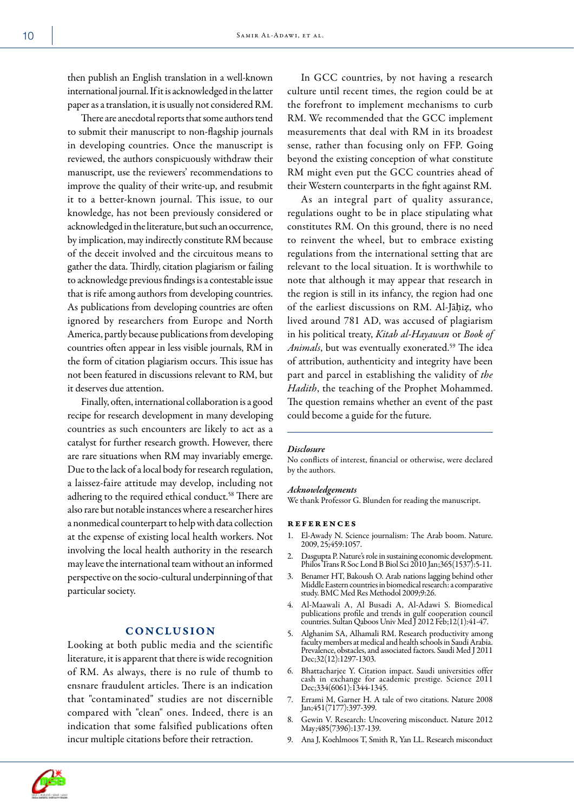then publish an English translation in a well-known international journal. If it is acknowledged in the latter paper as a translation, it is usually not considered RM.

There are anecdotal reports that some authors tend to submit their manuscript to non-flagship journals in developing countries. Once the manuscript is reviewed, the authors conspicuously withdraw their manuscript, use the reviewers' recommendations to improve the quality of their write-up, and resubmit it to a better-known journal. This issue, to our knowledge, has not been previously considered or acknowledged in the literature, but such an occurrence, by implication, may indirectly constitute RM because of the deceit involved and the circuitous means to gather the data. Thirdly, citation plagiarism or failing to acknowledge previous findings is a contestable issue that is rife among authors from developing countries. As publications from developing countries are often ignored by researchers from Europe and North America, partly because publications from developing countries often appear in less visible journals, RM in the form of citation plagiarism occurs. This issue has not been featured in discussions relevant to RM, but it deserves due attention.

Finally, often, international collaboration is a good recipe for research development in many developing countries as such encounters are likely to act as a catalyst for further research growth. However, there are rare situations when RM may invariably emerge. Due to the lack of a local body for research regulation, a laissez-faire attitude may develop, including not adhering to the required ethical conduct.<sup>58</sup> There are also rare but notable instances where a researcher hires a nonmedical counterpart to help with data collection at the expense of existing local health workers. Not involving the local health authority in the research may leave the international team without an informed perspective on the socio-cultural underpinning of that particular society.

## **CONCLUSION**

Looking at both public media and the scientific literature, it is apparent that there is wide recognition of RM. As always, there is no rule of thumb to ensnare fraudulent articles. There is an indication that "contaminated" studies are not discernible compared with "clean" ones. Indeed, there is an indication that some falsified publications often incur multiple citations before their retraction.

In GCC countries, by not having a research culture until recent times, the region could be at the forefront to implement mechanisms to curb RM. We recommended that the GCC implement measurements that deal with RM in its broadest sense, rather than focusing only on FFP. Going beyond the existing conception of what constitute RM might even put the GCC countries ahead of their Western counterparts in the fight against RM.

As an integral part of quality assurance, regulations ought to be in place stipulating what constitutes RM. On this ground, there is no need to reinvent the wheel, but to embrace existing regulations from the international setting that are relevant to the local situation. It is worthwhile to note that although it may appear that research in the region is still in its infancy, the region had one of the earliest discussions on RM. Al-Jāḥiẓ, who lived around 781 AD, was accused of plagiarism in his political treaty, *Kitab al-Hayawan* or *Book of*  Animals, but was eventually exonerated.<sup>59</sup> The idea of attribution, authenticity and integrity have been part and parcel in establishing the validity of *the Hadith*, the teaching of the Prophet Mohammed. The question remains whether an event of the past could become a guide for the future.

#### *Disclosure*

No conflicts of interest, financial or otherwise, were declared by the authors.

#### *Acknowledgements*

We thank Professor G. Blunden for reading the manuscript.

#### references

- 1. El-Awady N. Science journalism: The Arab boom. Nature. 2009, 25;459:1057.
- 2. Dasgupta P. Nature's role in sustaining economic development. Philos Trans R Soc Lond B Biol Sci 2010 Jan;365(1537):5-11.
- 3. Benamer HT, Bakoush O. Arab nations lagging behind other Middle Eastern countries in biomedical research: a comparative study. BMC Med Res Methodol 2009;9:26.
- 4. Al-Maawali A, Al Busadi A, Al-Adawi S. Biomedical publications profile and trends in gulf cooperation council countries. Sultan Qaboos Univ Med J 2012 Feb;12(1):41-47.
- 5. Alghanim SA, Alhamali RM. Research productivity among faculty members at medical and health schools in Saudi Arabia. Prevalence, obstacles, and associated factors. Saudi Med J 2011 Dec;32(12):1297-1303.
- 6. Bhattacharjee Y. Citation impact. Saudi universities offer cash in exchange for academic prestige. Science 2011 Dec;334(6061):1344-1345.
- 7. Errami M, Garner H. A tale of two citations. Nature 2008 Jan;451(7177):397-399.
- 8. Gewin V. Research: Uncovering misconduct. Nature 2012 May;485(7396):137-139.
- 9. Ana J, Koehlmoos T, Smith R, Yan LL. Research misconduct